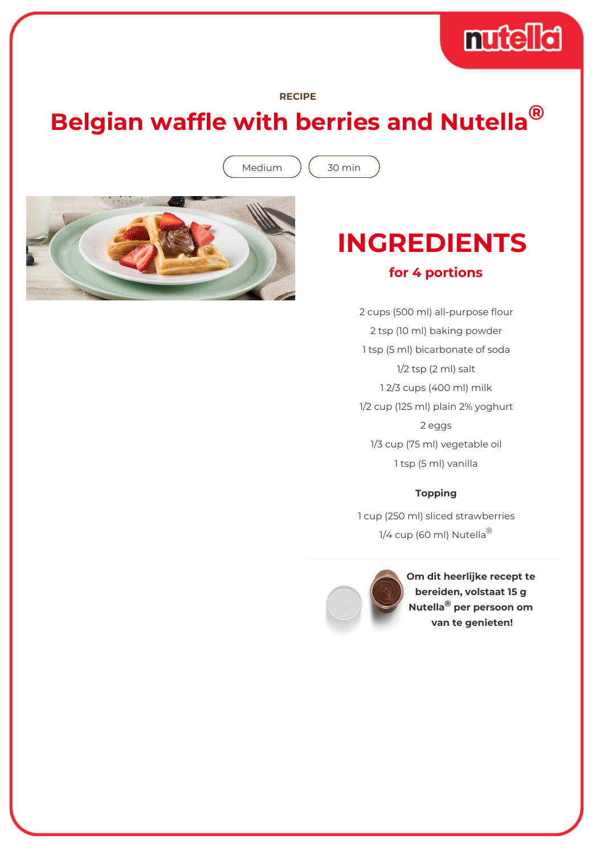# muddid

#### **RECIPE**

## **Belgian waffle with berries and Nutella®**

Medium ) (30 min



# **INGREDIENTS**

### **for 4 portions**

2 cups (500 ml) all-purpose flour 2 tsp (10 ml) baking powder 1 tsp (5 ml) bicarbonate of soda 1/2 tsp (2 ml) salt 1 2/3 cups (400 ml) milk 1/2 cup (125 ml) plain 2% yoghurt 2 eggs 1/3 cup (75 ml) vegetable oil 1 tsp (5 ml) vanilla

### **Topping**

1 cup (250 ml) sliced strawberries 1/4 cup (60 ml) Nutella<sup>®</sup>



**Om dit heerlijke recept te bereiden, volstaat 15 g Nutella® per persoon om van te genieten!**